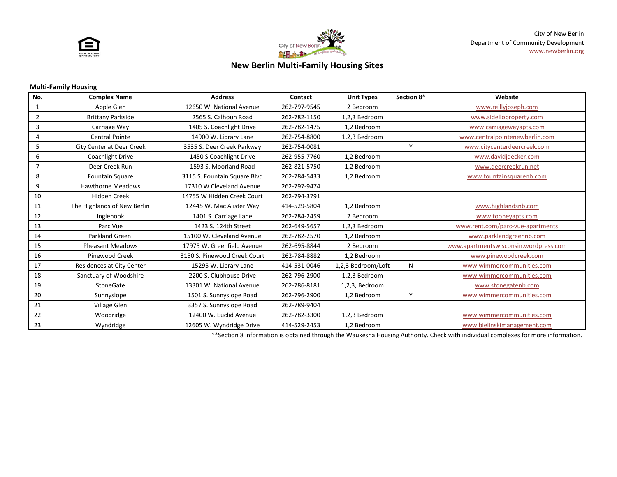



# **New Berlin Multi-Family Housing Sites**

#### **Multi-Family Housing**

| No.            | <b>Complex Name</b>         | <b>Address</b>               | Contact      | <b>Unit Types</b>  | Section 8* | Website                               |
|----------------|-----------------------------|------------------------------|--------------|--------------------|------------|---------------------------------------|
| 1              | Apple Glen                  | 12650 W. National Avenue     | 262-797-9545 | 2 Bedroom          |            | www.reillyjoseph.com                  |
| 2              | <b>Brittany Parkside</b>    | 2565 S. Calhoun Road         | 262-782-1150 | 1,2,3 Bedroom      |            | www.sidelloproperty.com               |
| 3              | Carriage Way                | 1405 S. Coachlight Drive     | 262-782-1475 | 1,2 Bedroom        |            | www.carriagewayapts.com               |
|                | <b>Central Pointe</b>       | 14900 W. Library Lane        | 262-754-8800 | 1,2,3 Bedroom      |            | www.centralpointenewberlin.com        |
| 5              | City Center at Deer Creek   | 3535 S. Deer Creek Parkway   | 262-754-0081 |                    | v          | www.citycenterdeercreek.com           |
| 6              | Coachlight Drive            | 1450 S Coachlight Drive      | 262-955-7760 | 1,2 Bedroom        |            | www.davidjdecker.com                  |
| $\overline{7}$ | Deer Creek Run              | 1593 S. Moorland Road        | 262-821-5750 | 1,2 Bedroom        |            | www.deercreekrun.net                  |
| 8              | <b>Fountain Square</b>      | 3115 S. Fountain Square Blvd | 262-784-5433 | 1,2 Bedroom        |            | www.fountainsquarenb.com              |
| 9              | <b>Hawthorne Meadows</b>    | 17310 W Cleveland Avenue     | 262-797-9474 |                    |            |                                       |
| 10             | <b>Hidden Creek</b>         | 14755 W Hidden Creek Court   | 262-794-3791 |                    |            |                                       |
| 11             | The Highlands of New Berlin | 12445 W. Mac Alister Way     | 414-529-5804 | 1,2 Bedroom        |            | www.highlandsnb.com                   |
| 12             | Inglenook                   | 1401 S. Carriage Lane        | 262-784-2459 | 2 Bedroom          |            | www.tooheyapts.com                    |
| 13             | Parc Vue                    | 1423 S. 124th Street         | 262-649-5657 | 1,2,3 Bedroom      |            | www.rent.com/parc-vue-apartments      |
| 14             | Parkland Green              | 15100 W. Cleveland Avenue    | 262-782-2570 | 1,2 Bedroom        |            | www.parklandgreennb.com               |
| 15             | <b>Pheasant Meadows</b>     | 17975 W. Greenfield Avenue   | 262-695-8844 | 2 Bedroom          |            | www.apartmentswisconsin.wordpress.com |
| 16             | <b>Pinewood Creek</b>       | 3150 S. Pinewood Creek Court | 262-784-8882 | 1,2 Bedroom        |            | www.pinewoodcreek.com                 |
| 17             | Residences at City Center   | 15295 W. Library Lane        | 414-531-0046 | 1,2,3 Bedroom/Loft | N          | www.wimmercommunities.com             |
| 18             | Sanctuary of Woodshire      | 2200 S. Clubhouse Drive      | 262-796-2900 | 1,2,3 Bedroom      |            | www.wimmercommunities.com             |
| 19             | <b>StoneGate</b>            | 13301 W. National Avenue     | 262-786-8181 | 1,2,3, Bedroom     |            | www.stonegatenb.com                   |
| 20             | Sunnyslope                  | 1501 S. Sunnyslope Road      | 262-796-2900 | 1,2 Bedroom        | Υ          | www.wimmercommunities.com             |
| 21             | Village Glen                | 3357 S. Sunnyslope Road      | 262-789-9404 |                    |            |                                       |
| 22             | Woodridge                   | 12400 W. Euclid Avenue       | 262-782-3300 | 1,2,3 Bedroom      |            | www.wimmercommunities.com             |
| 23             | Wyndridge                   | 12605 W. Wyndridge Drive     | 414-529-2453 | 1,2 Bedroom        |            | www.bielinskimanagement.com           |

\*\*Section 8 information is obtained through the Waukesha Housing Authority. Check with individual complexes for more information.